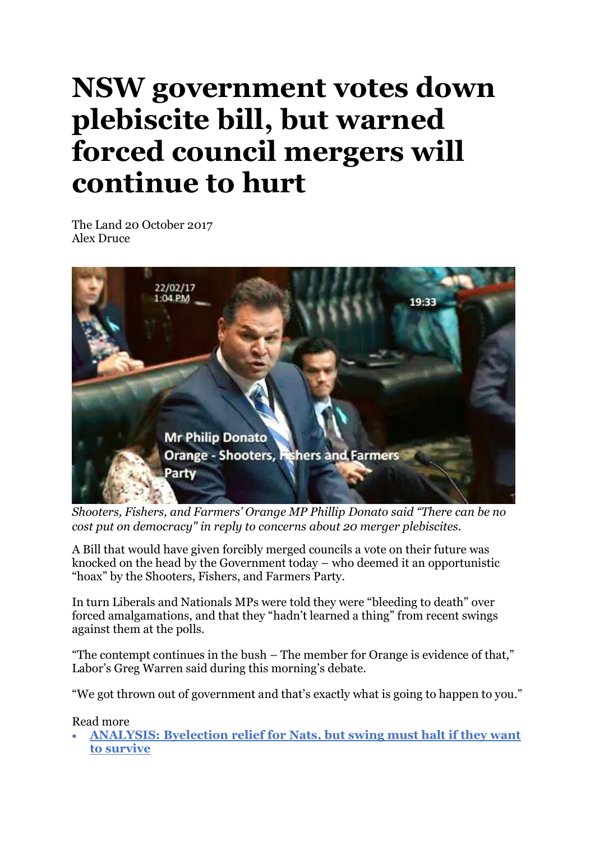## **NSW government votes down plebiscite bill, but warned forced council mergers will continue to hurt**

The Land 20 October 2017 Alex Druc[e](http://www.theherald.com.au/profile/178/alex-druce)



*Shooters, Fishers, and Farmers' Orange MP Phillip Donato said "There can be no cost put on democracy" in reply to concerns about 20 merger plebiscites.*

A Bill that would have given forcibly merged councils a vote on their future was knocked on the head by the Government today – who deemed it an opportunistic "hoax" by the Shooters, Fishers, and Farmers Party.

In turn Liberals and Nationals MPs were told they were "bleeding to death" over forced amalgamations, and that they "hadn't learned a thing" from recent swings against them at the polls.

"The contempt continues in the bush – The member for Orange is evidence of that," Labor's Greg Warren said during this morning's debate.

"We got thrown out of government and that's exactly what is going to happen to you."

Read more

• **[ANALYSIS:](http://www.theherald.com.au/story/4995092/byelection-relief-but-swing-must-halt-if-nats-want-to-survive/) Byelection relief for Nats, but swing must halt if they want to [survive](http://www.theherald.com.au/story/4995092/byelection-relief-but-swing-must-halt-if-nats-want-to-survive/)**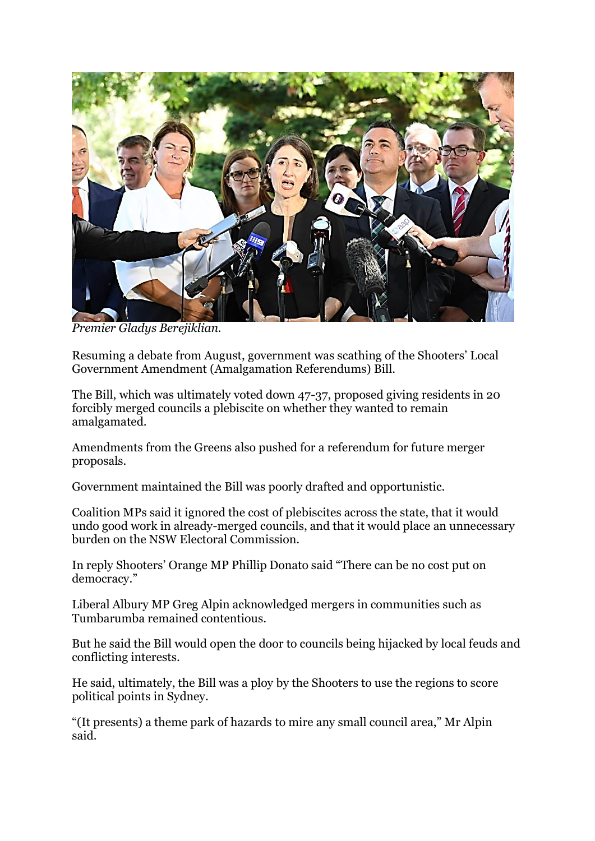

*Premier Gladys Berejiklian.*

Resuming a debate from August, government was scathing of the Shooters' Local Government Amendment (Amalgamation Referendums) Bill.

The Bill, which was ultimately voted down 47-37, proposed giving residents in 20 forcibly merged councils a plebiscite on whether they wanted to remain amalgamated.

Amendments from the Greens also pushed for a referendum for future merger proposals.

Government maintained the Bill was poorly drafted and opportunistic.

Coalition MPs said it ignored the cost of plebiscites across the state, that it would undo good work in already-merged councils, and that it would place an unnecessary burden on the NSW Electoral Commission.

In reply Shooters' Orange MP Phillip Donato said "There can be no cost put on democracy."

Liberal Albury MP Greg Alpin acknowledged mergers in communities such as Tumbarumba remained contentious.

But he said the Bill would open the door to councils being hijacked by local feuds and conflicting interests.

He said, ultimately, the Bill was a ploy by the Shooters to use the regions to score political points in Sydney.

"(It presents) a theme park of hazards to mire any small council area," Mr Alpin said.